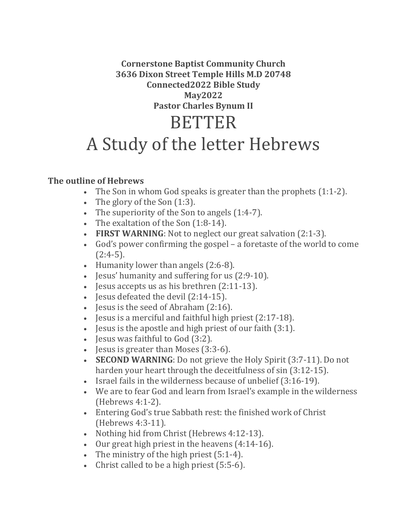**Cornerstone Baptist Community Church 3636 Dixon Street Temple Hills M.D 20748 Connected2022 Bible Study May2022 Pastor Charles Bynum II** BETTER

## A Study of the letter Hebrews

## **The outline of Hebrews**

- The Son in whom God speaks is greater than the prophets (1:1-2).
- The glory of the Son (1:3).
- The superiority of the Son to angels (1:4-7).
- The exaltation of the Son (1:8-14).
- **FIRST WARNING**: Not to neglect our great salvation (2:1-3).
- God's power confirming the gospel a foretaste of the world to come  $(2:4-5)$ .
- Humanity lower than angels (2:6-8).
- Jesus' humanity and suffering for us (2:9-10).
- Jesus accepts us as his brethren (2:11-13).
- Jesus defeated the devil (2:14-15).
- Jesus is the seed of Abraham (2:16).
- Jesus is a merciful and faithful high priest (2:17-18).
- Jesus is the apostle and high priest of our faith (3:1).
- Jesus was faithful to God (3:2).
- Jesus is greater than Moses (3:3-6).
- **SECOND WARNING**: Do not grieve the Holy Spirit (3:7-11). Do not harden your heart through the deceitfulness of sin (3:12-15).
- Israel fails in the wilderness because of unbelief (3:16-19).
- We are to fear God and learn from Israel's example in the wilderness (Hebrews 4:1-2).
- Entering God's true Sabbath rest: the finished work of Christ (Hebrews 4:3-11).
- Nothing hid from Christ (Hebrews 4:12-13).
- Our great high priest in the heavens (4:14-16).
- The ministry of the high priest (5:1-4).
- Christ called to be a high priest (5:5-6).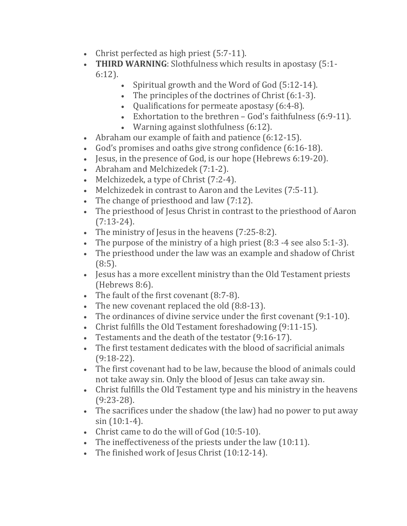- Christ perfected as high priest (5:7-11).
- **THIRD WARNING**: Slothfulness which results in apostasy (5:1- 6:12).
	- Spiritual growth and the Word of God (5:12-14).
		- The principles of the doctrines of Christ (6:1-3).
		- Qualifications for permeate apostasy (6:4-8).
		- Exhortation to the brethren God's faithfulness (6:9-11).
		- Warning against slothfulness (6:12).
- Abraham our example of faith and patience (6:12-15).
- God's promises and oaths give strong confidence (6:16-18).
- Jesus, in the presence of God, is our hope (Hebrews 6:19-20).
- Abraham and Melchizedek (7:1-2).
- Melchizedek, a type of Christ (7:2-4).
- Melchizedek in contrast to Aaron and the Levites (7:5-11).
- The change of priesthood and law (7:12).
- The priesthood of Jesus Christ in contrast to the priesthood of Aaron  $(7:13-24)$ .
- The ministry of Jesus in the heavens (7:25-8:2).
- The purpose of the ministry of a high priest (8:3 -4 see also 5:1-3).
- The priesthood under the law was an example and shadow of Christ (8:5).
- Jesus has a more excellent ministry than the Old Testament priests (Hebrews 8:6).
- The fault of the first covenant (8:7-8).
- The new covenant replaced the old (8:8-13).
- The ordinances of divine service under the first covenant (9:1-10).
- Christ fulfills the Old Testament foreshadowing (9:11-15).
- Testaments and the death of the testator (9:16-17).
- The first testament dedicates with the blood of sacrificial animals (9:18-22).
- The first covenant had to be law, because the blood of animals could not take away sin. Only the blood of Jesus can take away sin.
- Christ fulfills the Old Testament type and his ministry in the heavens (9:23-28).
- The sacrifices under the shadow (the law) had no power to put away sin (10:1-4).
- Christ came to do the will of God (10:5-10).
- The ineffectiveness of the priests under the law (10:11).
- The finished work of Jesus Christ (10:12-14).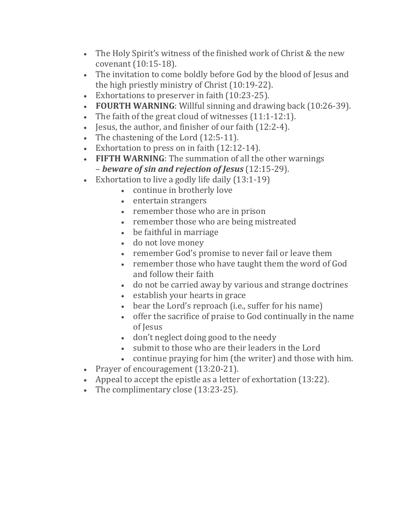- The Holy Spirit's witness of the finished work of Christ & the new covenant (10:15-18).
- The invitation to come boldly before God by the blood of Jesus and the high priestly ministry of Christ (10:19-22).
- Exhortations to preserver in faith (10:23-25).
- **FOURTH WARNING**: Willful sinning and drawing back (10:26-39).
- The faith of the great cloud of witnesses (11:1-12:1).
- Jesus, the author, and finisher of our faith (12:2-4).
- The chastening of the Lord (12:5-11).
- Exhortation to press on in faith (12:12-14).
- **FIFTH WARNING**: The summation of all the other warnings – *beware of sin and rejection of Jesus* (12:15-29).
- Exhortation to live a godly life daily (13:1-19)
	- continue in brotherly love
	- entertain strangers
	- remember those who are in prison
	- remember those who are being mistreated
	- be faithful in marriage
	- do not love money
	- remember God's promise to never fail or leave them
	- remember those who have taught them the word of God and follow their faith
	- do not be carried away by various and strange doctrines
	- establish your hearts in grace
	- bear the Lord's reproach (i.e., suffer for his name)
	- offer the sacrifice of praise to God continually in the name of Jesus
	- don't neglect doing good to the needy
	- submit to those who are their leaders in the Lord
	- continue praying for him (the writer) and those with him.
- Prayer of encouragement (13:20-21).
- Appeal to accept the epistle as a letter of exhortation (13:22).
- The complimentary close (13:23-25).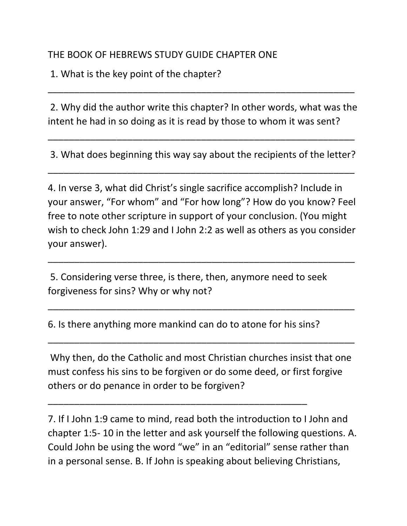## THE BOOK OF HEBREWS STUDY GUIDE CHAPTER ONE

1. What is the key point of the chapter?

2. Why did the author write this chapter? In other words, what was the intent he had in so doing as it is read by those to whom it was sent?

\_\_\_\_\_\_\_\_\_\_\_\_\_\_\_\_\_\_\_\_\_\_\_\_\_\_\_\_\_\_\_\_\_\_\_\_\_\_\_\_\_\_\_\_\_\_\_\_\_\_\_\_\_\_\_\_\_\_

3. What does beginning this way say about the recipients of the letter?

\_\_\_\_\_\_\_\_\_\_\_\_\_\_\_\_\_\_\_\_\_\_\_\_\_\_\_\_\_\_\_\_\_\_\_\_\_\_\_\_\_\_\_\_\_\_\_\_\_\_\_\_\_\_\_\_\_\_

\_\_\_\_\_\_\_\_\_\_\_\_\_\_\_\_\_\_\_\_\_\_\_\_\_\_\_\_\_\_\_\_\_\_\_\_\_\_\_\_\_\_\_\_\_\_\_\_\_\_\_\_\_\_\_\_\_\_

4. In verse 3, what did Christ's single sacrifice accomplish? Include in your answer, "For whom" and "For how long"? How do you know? Feel free to note other scripture in support of your conclusion. (You might wish to check John 1:29 and I John 2:2 as well as others as you consider your answer).

\_\_\_\_\_\_\_\_\_\_\_\_\_\_\_\_\_\_\_\_\_\_\_\_\_\_\_\_\_\_\_\_\_\_\_\_\_\_\_\_\_\_\_\_\_\_\_\_\_\_\_\_\_\_\_\_\_\_

\_\_\_\_\_\_\_\_\_\_\_\_\_\_\_\_\_\_\_\_\_\_\_\_\_\_\_\_\_\_\_\_\_\_\_\_\_\_\_\_\_\_\_\_\_\_\_\_\_\_\_\_\_\_\_\_\_\_

\_\_\_\_\_\_\_\_\_\_\_\_\_\_\_\_\_\_\_\_\_\_\_\_\_\_\_\_\_\_\_\_\_\_\_\_\_\_\_\_\_\_\_\_\_\_\_\_\_\_\_\_\_\_\_\_\_\_

5. Considering verse three, is there, then, anymore need to seek forgiveness for sins? Why or why not?

6. Is there anything more mankind can do to atone for his sins?

\_\_\_\_\_\_\_\_\_\_\_\_\_\_\_\_\_\_\_\_\_\_\_\_\_\_\_\_\_\_\_\_\_\_\_\_\_\_\_\_\_\_\_\_\_\_\_\_\_

Why then, do the Catholic and most Christian churches insist that one must confess his sins to be forgiven or do some deed, or first forgive others or do penance in order to be forgiven?

7. If I John 1:9 came to mind, read both the introduction to I John and chapter 1:5- 10 in the letter and ask yourself the following questions. A. Could John be using the word "we" in an "editorial" sense rather than in a personal sense. B. If John is speaking about believing Christians,